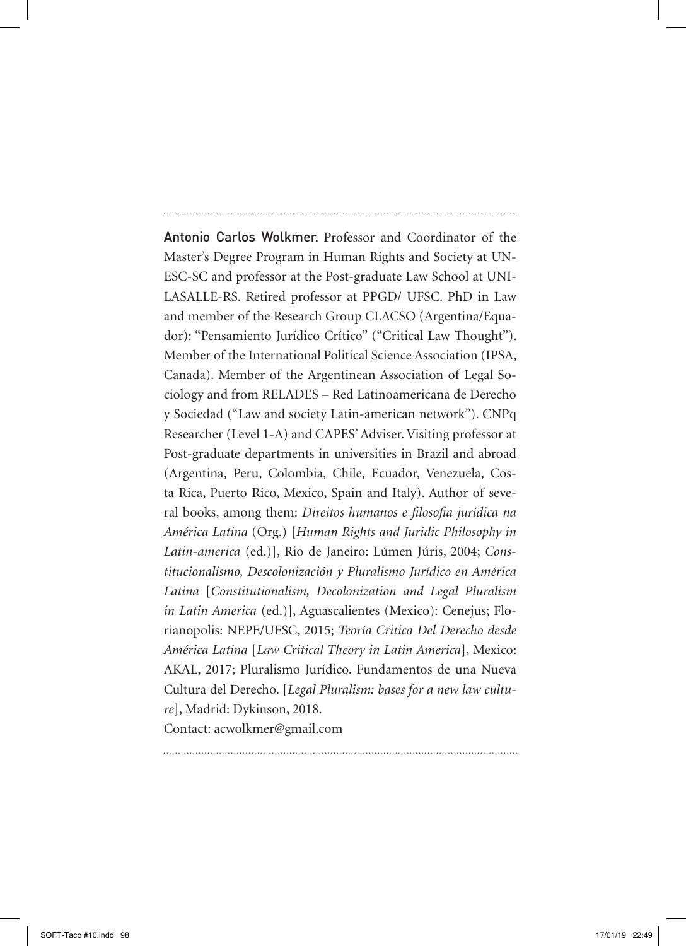Antonio Carlos Wolkmer. Professor and Coordinator of the Master's Degree Program in Human Rights and Society at UN-ESC-SC and professor at the Post-graduate Law School at UNI-LASALLE-RS. Retired professor at PPGD/ UFSC. PhD in Law and member of the Research Group CLACSO (Argentina/Equador): "Pensamiento Jurídico Crítico" ("Critical Law Thought"). Member of the International Political Science Association (IPSA, Canada). Member of the Argentinean Association of Legal Sociology and from RELADES – Red Latinoamericana de Derecho y Sociedad ("Law and society Latin-american network"). CNPq Researcher (Level 1-A) and CAPES' Adviser. Visiting professor at Post-graduate departments in universities in Brazil and abroad (Argentina, Peru, Colombia, Chile, Ecuador, Venezuela, Costa Rica, Puerto Rico, Mexico, Spain and Italy). Author of several books, among them: *Direitos humanos e filosofia jurídica na América Latina* (Org.) [*Human Rights and Juridic Philosophy in Latin-america* (ed.)], Rio de Janeiro: Lúmen Júris, 2004; *Constitucionalismo, Descolonización y Pluralismo Jurídico en América Latina* [*Constitutionalism, Decolonization and Legal Pluralism in Latin America* (ed.)], Aguascalientes (Mexico): Cenejus; Florianopolis: NEPE/UFSC, 2015; *Teoría Critica Del Derecho desde América Latina* [*Law Critical Theory in Latin America*], Mexico: AKAL, 2017; Pluralismo Jurídico. Fundamentos de una Nueva Cultura del Derecho. [*Legal Pluralism: bases for a new law culture*], Madrid: Dykinson, 2018. Contact: acwolkmer@gmail.com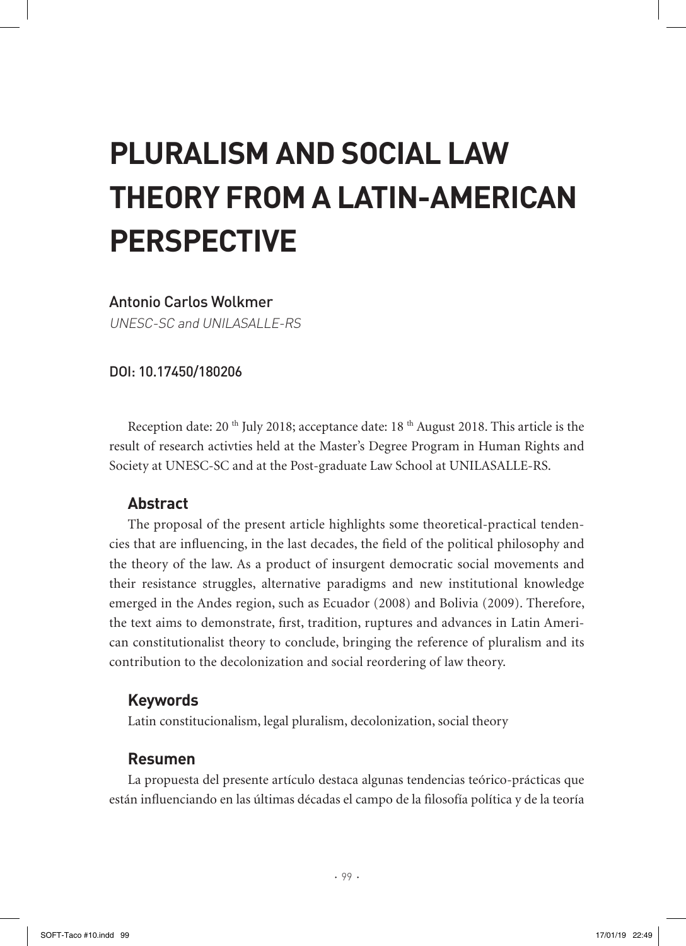# **PLURALISM AND SOCIAL LAW THEORY FROM A LATIN-AMERICAN PERSPECTIVE**

#### Antonio Carlos Wolkmer

UNESC-SC and UNILASALLE-RS

#### DOI: 10.17450/180206

Reception date: 20<sup>th</sup> July 2018; acceptance date: 18<sup>th</sup> August 2018. This article is the result of research activties held at the Master's Degree Program in Human Rights and Society at UNESC-SC and at the Post-graduate Law School at UNILASALLE-RS.

#### **Abstract**

The proposal of the present article highlights some theoretical-practical tendencies that are influencing, in the last decades, the field of the political philosophy and the theory of the law. As a product of insurgent democratic social movements and their resistance struggles, alternative paradigms and new institutional knowledge emerged in the Andes region, such as Ecuador (2008) and Bolivia (2009). Therefore, the text aims to demonstrate, first, tradition, ruptures and advances in Latin American constitutionalist theory to conclude, bringing the reference of pluralism and its contribution to the decolonization and social reordering of law theory.

#### **Keywords**

Latin constitucionalism, legal pluralism, decolonization, social theory

#### **Resumen**

La propuesta del presente artículo destaca algunas tendencias teórico-prácticas que están influenciando en las últimas décadas el campo de la filosofía política y de la teoría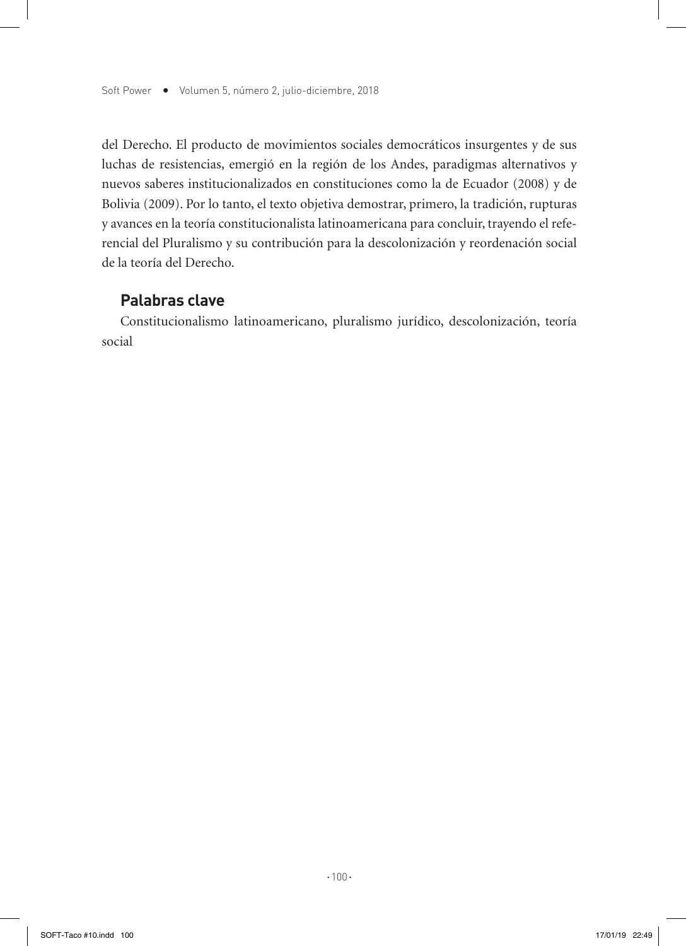del Derecho. El producto de movimientos sociales democráticos insurgentes y de sus luchas de resistencias, emergió en la región de los Andes, paradigmas alternativos y nuevos saberes institucionalizados en constituciones como la de Ecuador (2008) y de Bolivia (2009). Por lo tanto, el texto objetiva demostrar, primero, la tradición, rupturas y avances en la teoría constitucionalista latinoamericana para concluir, trayendo el referencial del Pluralismo y su contribución para la descolonización y reordenación social de la teoría del Derecho.

### **Palabras clave**

Constitucionalismo latinoamericano, pluralismo jurídico, descolonización, teoría social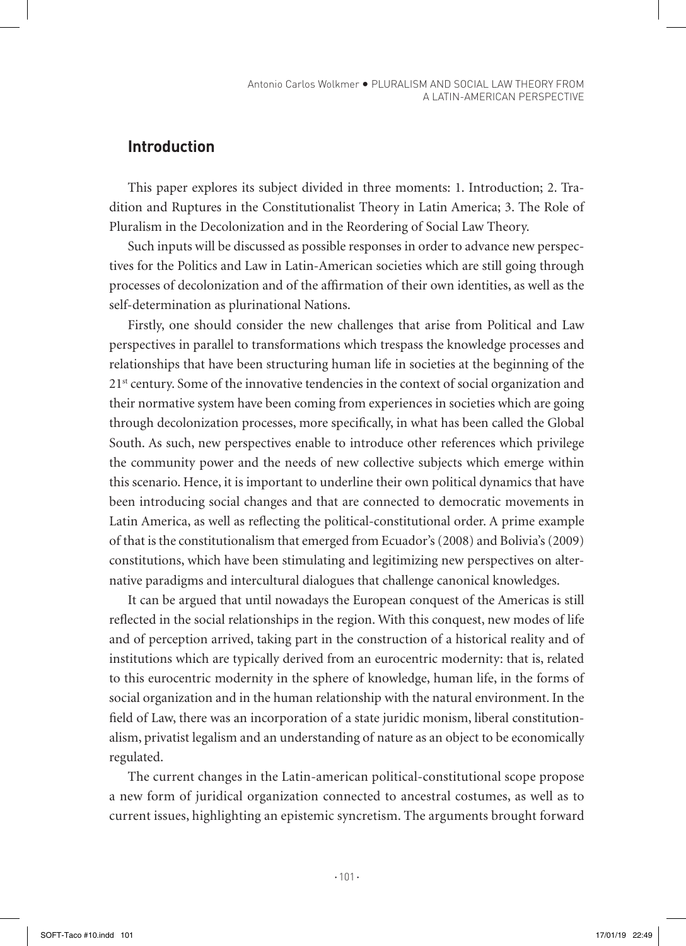## **Introduction**

This paper explores its subject divided in three moments: 1. Introduction; 2. Tradition and Ruptures in the Constitutionalist Theory in Latin America; 3. The Role of Pluralism in the Decolonization and in the Reordering of Social Law Theory.

Such inputs will be discussed as possible responses in order to advance new perspectives for the Politics and Law in Latin-American societies which are still going through processes of decolonization and of the affirmation of their own identities, as well as the self-determination as plurinational Nations.

Firstly, one should consider the new challenges that arise from Political and Law perspectives in parallel to transformations which trespass the knowledge processes and relationships that have been structuring human life in societies at the beginning of the 21<sup>st</sup> century. Some of the innovative tendencies in the context of social organization and their normative system have been coming from experiences in societies which are going through decolonization processes, more specifically, in what has been called the Global South. As such, new perspectives enable to introduce other references which privilege the community power and the needs of new collective subjects which emerge within this scenario. Hence, it is important to underline their own political dynamics that have been introducing social changes and that are connected to democratic movements in Latin America, as well as reflecting the political-constitutional order. A prime example of that is the constitutionalism that emerged from Ecuador's (2008) and Bolivia's (2009) constitutions, which have been stimulating and legitimizing new perspectives on alternative paradigms and intercultural dialogues that challenge canonical knowledges.

It can be argued that until nowadays the European conquest of the Americas is still reflected in the social relationships in the region. With this conquest, new modes of life and of perception arrived, taking part in the construction of a historical reality and of institutions which are typically derived from an eurocentric modernity: that is, related to this eurocentric modernity in the sphere of knowledge, human life, in the forms of social organization and in the human relationship with the natural environment. In the field of Law, there was an incorporation of a state juridic monism, liberal constitutionalism, privatist legalism and an understanding of nature as an object to be economically regulated.

The current changes in the Latin-american political-constitutional scope propose a new form of juridical organization connected to ancestral costumes, as well as to current issues, highlighting an epistemic syncretism. The arguments brought forward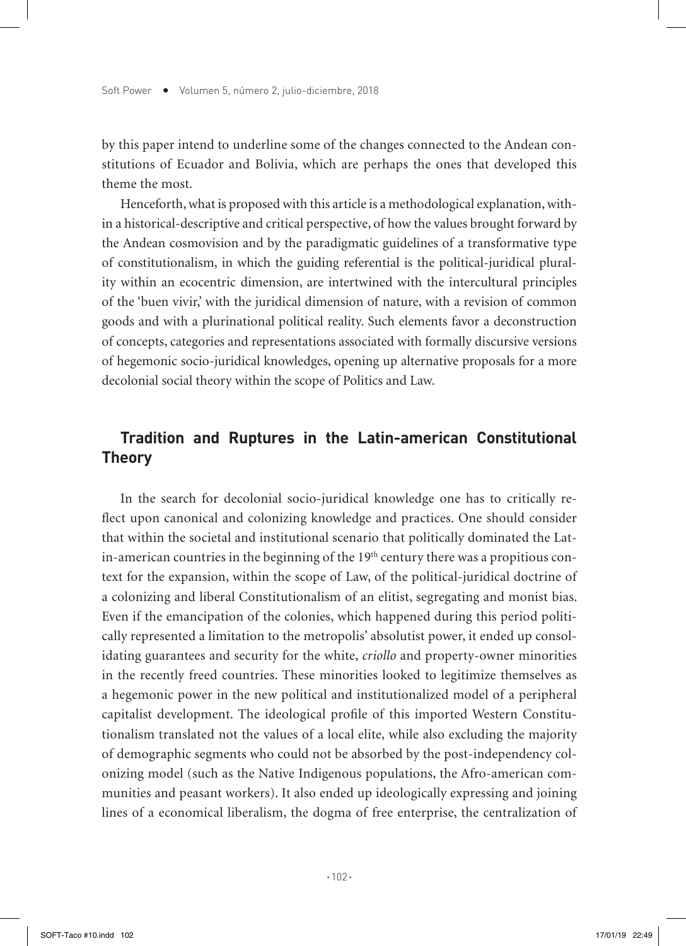by this paper intend to underline some of the changes connected to the Andean constitutions of Ecuador and Bolivia, which are perhaps the ones that developed this theme the most.

Henceforth, what is proposed with this article is a methodological explanation, within a historical-descriptive and critical perspective, of how the values brought forward by the Andean cosmovision and by the paradigmatic guidelines of a transformative type of constitutionalism, in which the guiding referential is the political-juridical plurality within an ecocentric dimension, are intertwined with the intercultural principles of the 'buen vivir,' with the juridical dimension of nature, with a revision of common goods and with a plurinational political reality. Such elements favor a deconstruction of concepts, categories and representations associated with formally discursive versions of hegemonic socio-juridical knowledges, opening up alternative proposals for a more decolonial social theory within the scope of Politics and Law.

# **Tradition and Ruptures in the Latin-american Constitutional Theory**

In the search for decolonial socio-juridical knowledge one has to critically reflect upon canonical and colonizing knowledge and practices. One should consider that within the societal and institutional scenario that politically dominated the Latin-american countries in the beginning of the  $19<sup>th</sup>$  century there was a propitious context for the expansion, within the scope of Law, of the political-juridical doctrine of a colonizing and liberal Constitutionalism of an elitist, segregating and monist bias. Even if the emancipation of the colonies, which happened during this period politically represented a limitation to the metropolis' absolutist power, it ended up consolidating guarantees and security for the white, *criollo* and property-owner minorities in the recently freed countries. These minorities looked to legitimize themselves as a hegemonic power in the new political and institutionalized model of a peripheral capitalist development. The ideological profile of this imported Western Constitutionalism translated not the values of a local elite, while also excluding the majority of demographic segments who could not be absorbed by the post-independency colonizing model (such as the Native Indigenous populations, the Afro-american communities and peasant workers). It also ended up ideologically expressing and joining lines of a economical liberalism, the dogma of free enterprise, the centralization of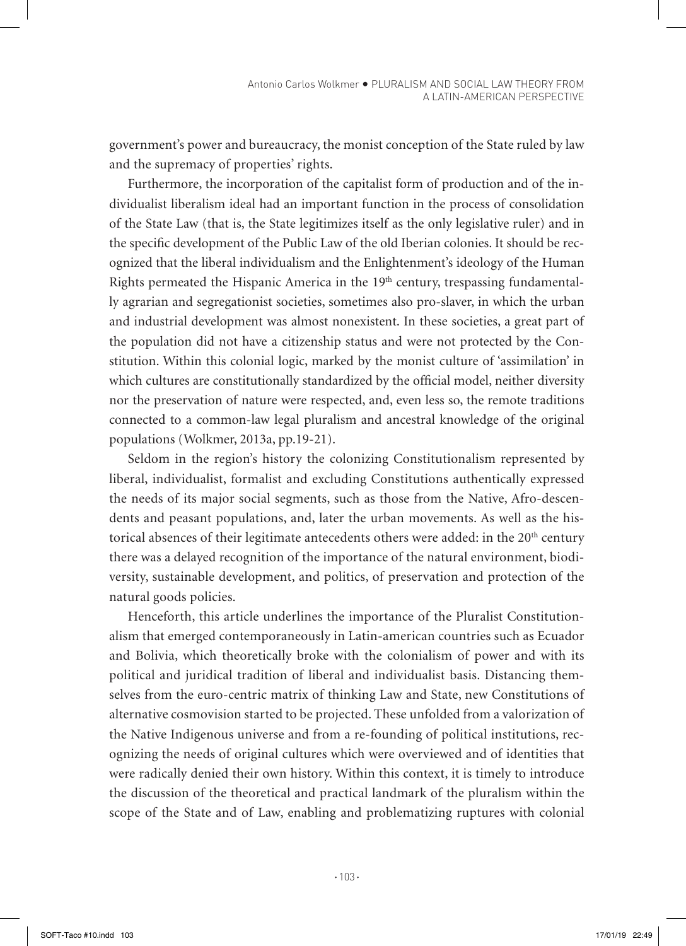government's power and bureaucracy, the monist conception of the State ruled by law and the supremacy of properties' rights.

Furthermore, the incorporation of the capitalist form of production and of the individualist liberalism ideal had an important function in the process of consolidation of the State Law (that is, the State legitimizes itself as the only legislative ruler) and in the specific development of the Public Law of the old Iberian colonies. It should be recognized that the liberal individualism and the Enlightenment's ideology of the Human Rights permeated the Hispanic America in the 19<sup>th</sup> century, trespassing fundamentally agrarian and segregationist societies, sometimes also pro-slaver, in which the urban and industrial development was almost nonexistent. In these societies, a great part of the population did not have a citizenship status and were not protected by the Constitution. Within this colonial logic, marked by the monist culture of 'assimilation' in which cultures are constitutionally standardized by the official model, neither diversity nor the preservation of nature were respected, and, even less so, the remote traditions connected to a common-law legal pluralism and ancestral knowledge of the original populations (Wolkmer, 2013a, pp.19-21).

Seldom in the region's history the colonizing Constitutionalism represented by liberal, individualist, formalist and excluding Constitutions authentically expressed the needs of its major social segments, such as those from the Native, Afro-descendents and peasant populations, and, later the urban movements. As well as the historical absences of their legitimate antecedents others were added: in the  $20<sup>th</sup>$  century there was a delayed recognition of the importance of the natural environment, biodiversity, sustainable development, and politics, of preservation and protection of the natural goods policies.

Henceforth, this article underlines the importance of the Pluralist Constitutionalism that emerged contemporaneously in Latin-american countries such as Ecuador and Bolivia, which theoretically broke with the colonialism of power and with its political and juridical tradition of liberal and individualist basis. Distancing themselves from the euro-centric matrix of thinking Law and State, new Constitutions of alternative cosmovision started to be projected. These unfolded from a valorization of the Native Indigenous universe and from a re-founding of political institutions, recognizing the needs of original cultures which were overviewed and of identities that were radically denied their own history. Within this context, it is timely to introduce the discussion of the theoretical and practical landmark of the pluralism within the scope of the State and of Law, enabling and problematizing ruptures with colonial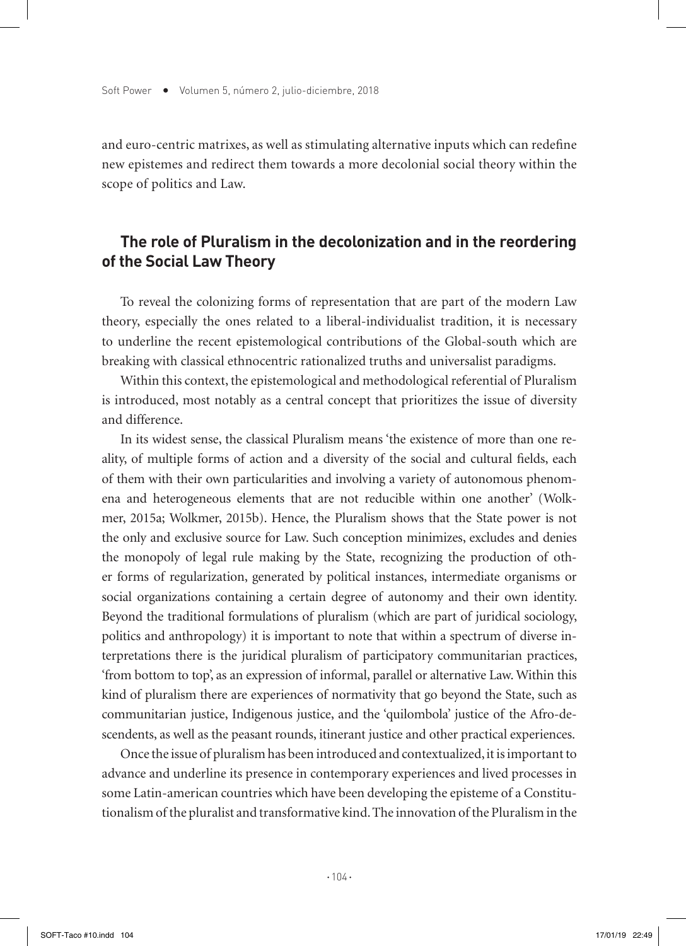and euro-centric matrixes, as well as stimulating alternative inputs which can redefine new epistemes and redirect them towards a more decolonial social theory within the scope of politics and Law.

# **The role of Pluralism in the decolonization and in the reordering of the Social Law Theory**

To reveal the colonizing forms of representation that are part of the modern Law theory, especially the ones related to a liberal-individualist tradition, it is necessary to underline the recent epistemological contributions of the Global-south which are breaking with classical ethnocentric rationalized truths and universalist paradigms.

Within this context, the epistemological and methodological referential of Pluralism is introduced, most notably as a central concept that prioritizes the issue of diversity and difference.

In its widest sense, the classical Pluralism means 'the existence of more than one reality, of multiple forms of action and a diversity of the social and cultural fields, each of them with their own particularities and involving a variety of autonomous phenomena and heterogeneous elements that are not reducible within one another' (Wolkmer, 2015a; Wolkmer, 2015b). Hence, the Pluralism shows that the State power is not the only and exclusive source for Law. Such conception minimizes, excludes and denies the monopoly of legal rule making by the State, recognizing the production of other forms of regularization, generated by political instances, intermediate organisms or social organizations containing a certain degree of autonomy and their own identity. Beyond the traditional formulations of pluralism (which are part of juridical sociology, politics and anthropology) it is important to note that within a spectrum of diverse interpretations there is the juridical pluralism of participatory communitarian practices, 'from bottom to top', as an expression of informal, parallel or alternative Law. Within this kind of pluralism there are experiences of normativity that go beyond the State, such as communitarian justice, Indigenous justice, and the 'quilombola' justice of the Afro-descendents, as well as the peasant rounds, itinerant justice and other practical experiences.

Once the issue of pluralism has been introduced and contextualized, it is important to advance and underline its presence in contemporary experiences and lived processes in some Latin-american countries which have been developing the episteme of a Constitutionalism of the pluralist and transformative kind. The innovation of the Pluralism in the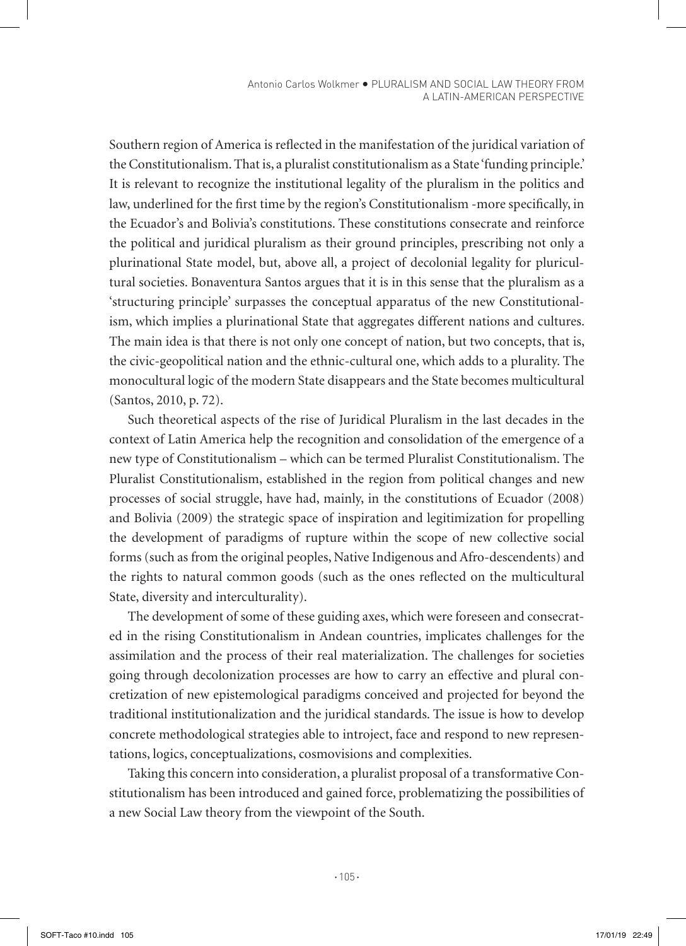Southern region of America is reflected in the manifestation of the juridical variation of the Constitutionalism. That is, a pluralist constitutionalism as a State 'funding principle.' It is relevant to recognize the institutional legality of the pluralism in the politics and law, underlined for the first time by the region's Constitutionalism -more specifically, in the Ecuador's and Bolivia's constitutions. These constitutions consecrate and reinforce the political and juridical pluralism as their ground principles, prescribing not only a plurinational State model, but, above all, a project of decolonial legality for pluricultural societies. Bonaventura Santos argues that it is in this sense that the pluralism as a 'structuring principle' surpasses the conceptual apparatus of the new Constitutionalism, which implies a plurinational State that aggregates different nations and cultures. The main idea is that there is not only one concept of nation, but two concepts, that is, the civic-geopolitical nation and the ethnic-cultural one, which adds to a plurality. The monocultural logic of the modern State disappears and the State becomes multicultural (Santos, 2010, p. 72).

Such theoretical aspects of the rise of Juridical Pluralism in the last decades in the context of Latin America help the recognition and consolidation of the emergence of a new type of Constitutionalism – which can be termed Pluralist Constitutionalism. The Pluralist Constitutionalism, established in the region from political changes and new processes of social struggle, have had, mainly, in the constitutions of Ecuador (2008) and Bolivia (2009) the strategic space of inspiration and legitimization for propelling the development of paradigms of rupture within the scope of new collective social forms (such as from the original peoples, Native Indigenous and Afro-descendents) and the rights to natural common goods (such as the ones reflected on the multicultural State, diversity and interculturality).

The development of some of these guiding axes, which were foreseen and consecrated in the rising Constitutionalism in Andean countries, implicates challenges for the assimilation and the process of their real materialization. The challenges for societies going through decolonization processes are how to carry an effective and plural concretization of new epistemological paradigms conceived and projected for beyond the traditional institutionalization and the juridical standards. The issue is how to develop concrete methodological strategies able to introject, face and respond to new representations, logics, conceptualizations, cosmovisions and complexities.

Taking this concern into consideration, a pluralist proposal of a transformative Constitutionalism has been introduced and gained force, problematizing the possibilities of a new Social Law theory from the viewpoint of the South.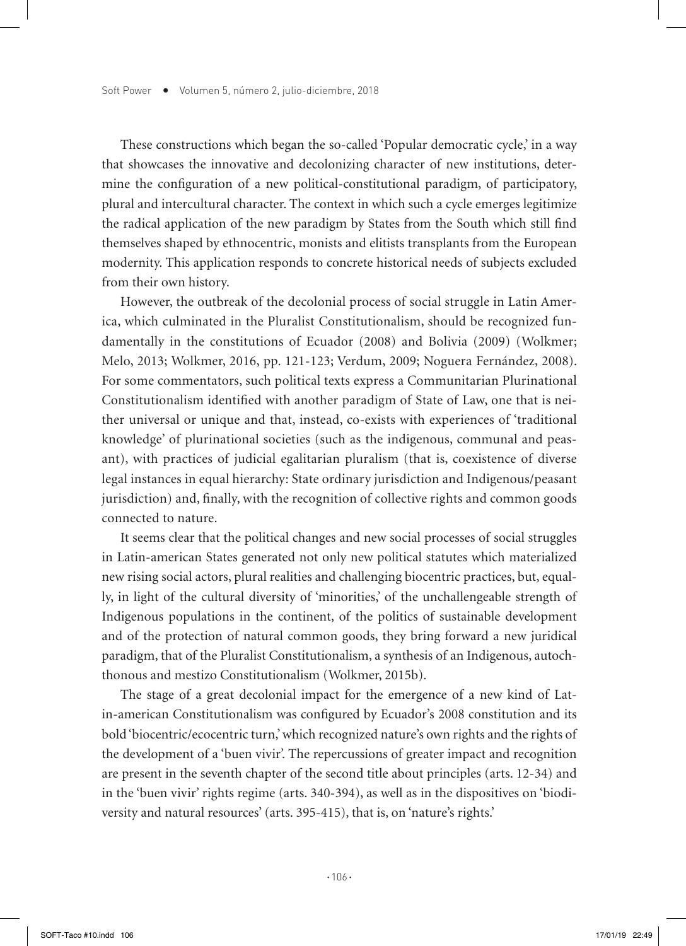These constructions which began the so-called 'Popular democratic cycle,' in a way that showcases the innovative and decolonizing character of new institutions, determine the configuration of a new political-constitutional paradigm, of participatory, plural and intercultural character. The context in which such a cycle emerges legitimize the radical application of the new paradigm by States from the South which still find themselves shaped by ethnocentric, monists and elitists transplants from the European modernity. This application responds to concrete historical needs of subjects excluded from their own history.

However, the outbreak of the decolonial process of social struggle in Latin America, which culminated in the Pluralist Constitutionalism, should be recognized fundamentally in the constitutions of Ecuador (2008) and Bolivia (2009) (Wolkmer; Melo, 2013; Wolkmer, 2016, pp. 121-123; Verdum, 2009; Noguera Fernández, 2008). For some commentators, such political texts express a Communitarian Plurinational Constitutionalism identified with another paradigm of State of Law, one that is neither universal or unique and that, instead, co-exists with experiences of 'traditional knowledge' of plurinational societies (such as the indigenous, communal and peasant), with practices of judicial egalitarian pluralism (that is, coexistence of diverse legal instances in equal hierarchy: State ordinary jurisdiction and Indigenous/peasant jurisdiction) and, finally, with the recognition of collective rights and common goods connected to nature.

It seems clear that the political changes and new social processes of social struggles in Latin-american States generated not only new political statutes which materialized new rising social actors, plural realities and challenging biocentric practices, but, equally, in light of the cultural diversity of 'minorities,' of the unchallengeable strength of Indigenous populations in the continent, of the politics of sustainable development and of the protection of natural common goods, they bring forward a new juridical paradigm, that of the Pluralist Constitutionalism, a synthesis of an Indigenous, autochthonous and mestizo Constitutionalism (Wolkmer, 2015b).

The stage of a great decolonial impact for the emergence of a new kind of Latin-american Constitutionalism was configured by Ecuador's 2008 constitution and its bold 'biocentric/ecocentric turn,' which recognized nature's own rights and the rights of the development of a 'buen vivir'. The repercussions of greater impact and recognition are present in the seventh chapter of the second title about principles (arts. 12-34) and in the 'buen vivir' rights regime (arts. 340-394), as well as in the dispositives on 'biodiversity and natural resources' (arts. 395-415), that is, on 'nature's rights.'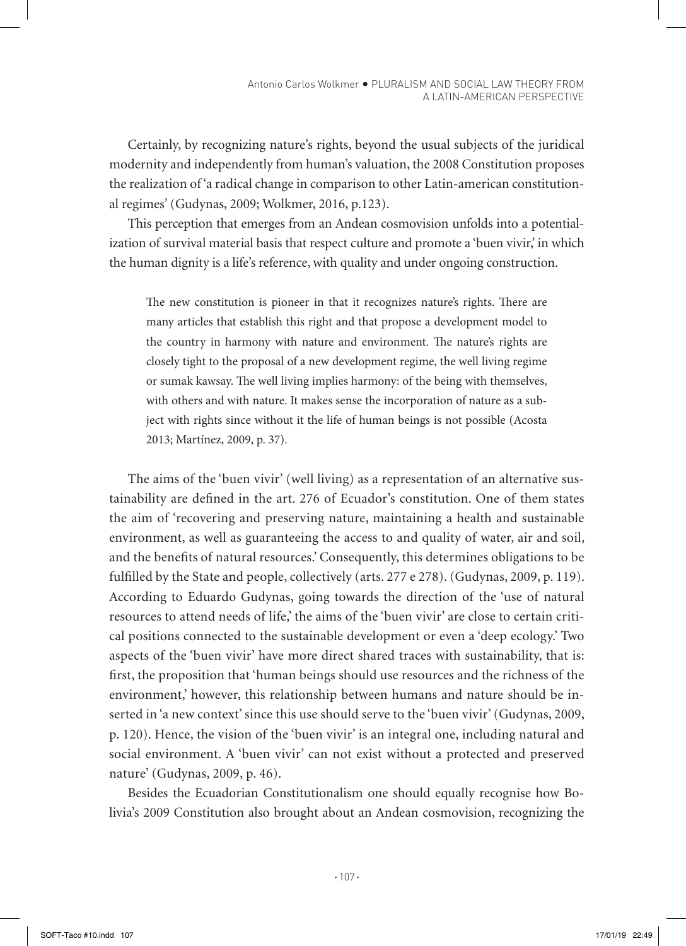Certainly, by recognizing nature's rights, beyond the usual subjects of the juridical modernity and independently from human's valuation, the 2008 Constitution proposes the realization of 'a radical change in comparison to other Latin-american constitutional regimes' (Gudynas, 2009; Wolkmer, 2016, p.123).

This perception that emerges from an Andean cosmovision unfolds into a potentialization of survival material basis that respect culture and promote a 'buen vivir,' in which the human dignity is a life's reference, with quality and under ongoing construction.

The new constitution is pioneer in that it recognizes nature's rights. There are many articles that establish this right and that propose a development model to the country in harmony with nature and environment. The nature's rights are closely tight to the proposal of a new development regime, the well living regime or sumak kawsay. The well living implies harmony: of the being with themselves, with others and with nature. It makes sense the incorporation of nature as a subject with rights since without it the life of human beings is not possible (Acosta 2013; Martínez, 2009, p. 37).

The aims of the 'buen vivir' (well living) as a representation of an alternative sustainability are defined in the art. 276 of Ecuador's constitution. One of them states the aim of 'recovering and preserving nature, maintaining a health and sustainable environment, as well as guaranteeing the access to and quality of water, air and soil, and the benefits of natural resources.' Consequently, this determines obligations to be fulfilled by the State and people, collectively (arts. 277 e 278). (Gudynas, 2009, p. 119). According to Eduardo Gudynas, going towards the direction of the 'use of natural resources to attend needs of life,' the aims of the 'buen vivir' are close to certain critical positions connected to the sustainable development or even a 'deep ecology.' Two aspects of the 'buen vivir' have more direct shared traces with sustainability, that is: first, the proposition that 'human beings should use resources and the richness of the environment,' however, this relationship between humans and nature should be inserted in 'a new context' since this use should serve to the 'buen vivir' (Gudynas, 2009, p. 120). Hence, the vision of the 'buen vivir' is an integral one, including natural and social environment. A 'buen vivir' can not exist without a protected and preserved nature' (Gudynas, 2009, p. 46).

Besides the Ecuadorian Constitutionalism one should equally recognise how Bolivia's 2009 Constitution also brought about an Andean cosmovision, recognizing the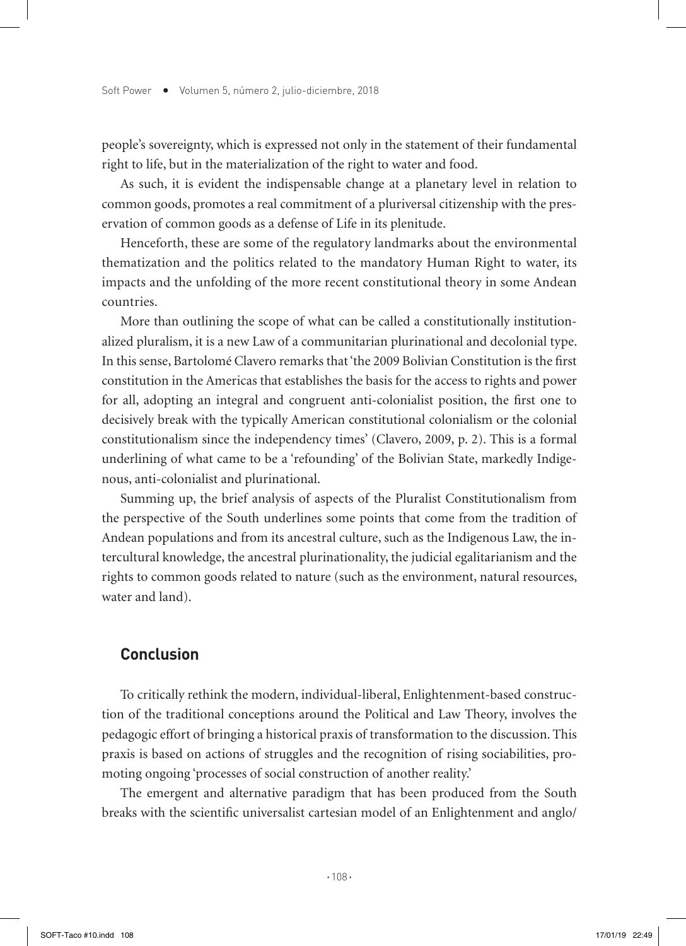people's sovereignty, which is expressed not only in the statement of their fundamental right to life, but in the materialization of the right to water and food.

As such, it is evident the indispensable change at a planetary level in relation to common goods, promotes a real commitment of a pluriversal citizenship with the preservation of common goods as a defense of Life in its plenitude.

Henceforth, these are some of the regulatory landmarks about the environmental thematization and the politics related to the mandatory Human Right to water, its impacts and the unfolding of the more recent constitutional theory in some Andean countries.

More than outlining the scope of what can be called a constitutionally institutionalized pluralism, it is a new Law of a communitarian plurinational and decolonial type. In this sense, Bartolomé Clavero remarks that 'the 2009 Bolivian Constitution is the first constitution in the Americas that establishes the basis for the access to rights and power for all, adopting an integral and congruent anti-colonialist position, the first one to decisively break with the typically American constitutional colonialism or the colonial constitutionalism since the independency times' (Clavero, 2009, p. 2). This is a formal underlining of what came to be a 'refounding' of the Bolivian State, markedly Indigenous, anti-colonialist and plurinational.

Summing up, the brief analysis of aspects of the Pluralist Constitutionalism from the perspective of the South underlines some points that come from the tradition of Andean populations and from its ancestral culture, such as the Indigenous Law, the intercultural knowledge, the ancestral plurinationality, the judicial egalitarianism and the rights to common goods related to nature (such as the environment, natural resources, water and land).

#### **Conclusion**

To critically rethink the modern, individual-liberal, Enlightenment-based construction of the traditional conceptions around the Political and Law Theory, involves the pedagogic effort of bringing a historical praxis of transformation to the discussion. This praxis is based on actions of struggles and the recognition of rising sociabilities, promoting ongoing 'processes of social construction of another reality.'

The emergent and alternative paradigm that has been produced from the South breaks with the scientific universalist cartesian model of an Enlightenment and anglo/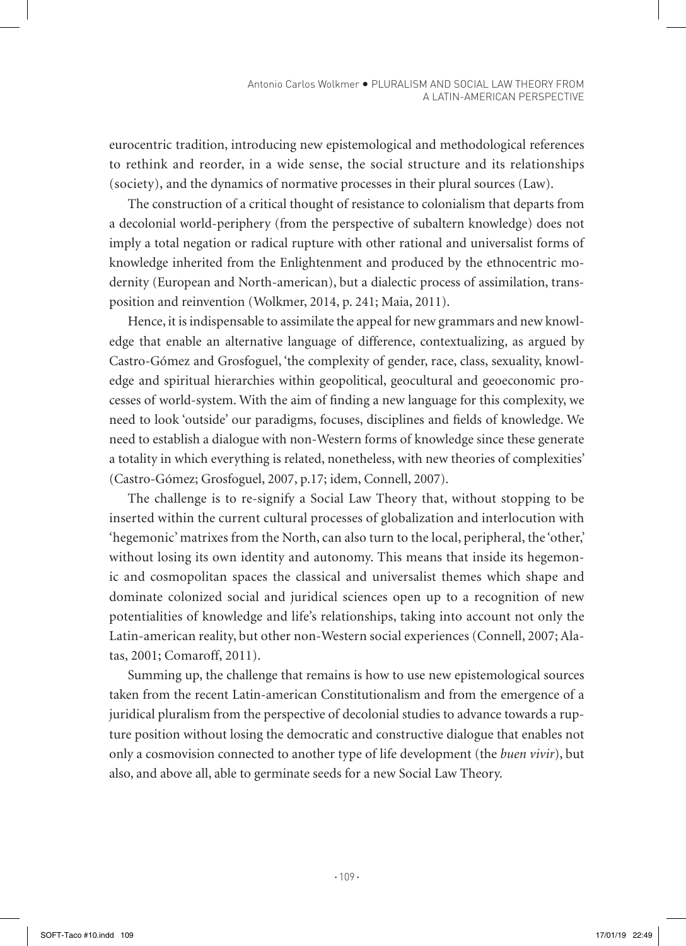eurocentric tradition, introducing new epistemological and methodological references to rethink and reorder, in a wide sense, the social structure and its relationships (society), and the dynamics of normative processes in their plural sources (Law).

The construction of a critical thought of resistance to colonialism that departs from a decolonial world-periphery (from the perspective of subaltern knowledge) does not imply a total negation or radical rupture with other rational and universalist forms of knowledge inherited from the Enlightenment and produced by the ethnocentric modernity (European and North-american), but a dialectic process of assimilation, transposition and reinvention (Wolkmer, 2014, p. 241; Maia, 2011).

Hence, it is indispensable to assimilate the appeal for new grammars and new knowledge that enable an alternative language of difference, contextualizing, as argued by Castro-Gómez and Grosfoguel, 'the complexity of gender, race, class, sexuality, knowledge and spiritual hierarchies within geopolitical, geocultural and geoeconomic processes of world-system. With the aim of finding a new language for this complexity, we need to look 'outside' our paradigms, focuses, disciplines and fields of knowledge. We need to establish a dialogue with non-Western forms of knowledge since these generate a totality in which everything is related, nonetheless, with new theories of complexities' (Castro-Gómez; Grosfoguel, 2007, p.17; idem, Connell, 2007).

The challenge is to re-signify a Social Law Theory that, without stopping to be inserted within the current cultural processes of globalization and interlocution with 'hegemonic' matrixes from the North, can also turn to the local, peripheral, the 'other,' without losing its own identity and autonomy. This means that inside its hegemonic and cosmopolitan spaces the classical and universalist themes which shape and dominate colonized social and juridical sciences open up to a recognition of new potentialities of knowledge and life's relationships, taking into account not only the Latin-american reality, but other non-Western social experiences (Connell, 2007; Alatas, 2001; Comaroff, 2011).

Summing up, the challenge that remains is how to use new epistemological sources taken from the recent Latin-american Constitutionalism and from the emergence of a juridical pluralism from the perspective of decolonial studies to advance towards a rupture position without losing the democratic and constructive dialogue that enables not only a cosmovision connected to another type of life development (the *buen vivir*), but also, and above all, able to germinate seeds for a new Social Law Theory.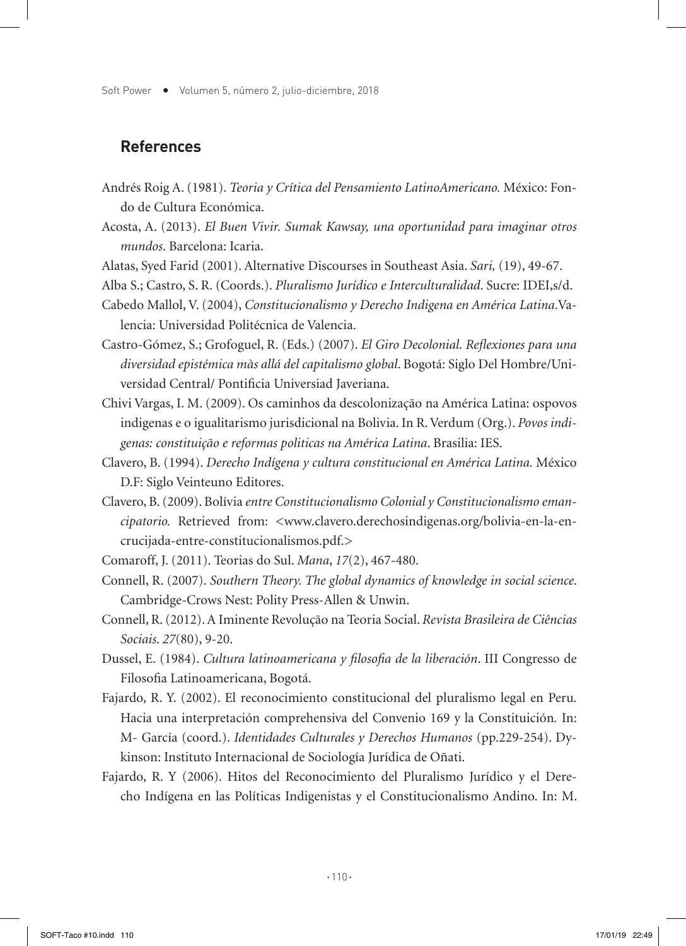Soft Power • Volumen 5, número 2, julio-diciembre, 2018

## **References**

- Andrés Roig A. (1981). *Teoria y Crítica del Pensamiento LatinoAmericano.* México: Fondo de Cultura Económica.
- Acosta, A. (2013). *El Buen Vivir. Sumak Kawsay, una oportunidad para imaginar otros mundos*. Barcelona: Icaria.
- Alatas, Syed Farid (2001). Alternative Discourses in Southeast Asia. *Sari,* (19), 49-67.
- Alba S.; Castro, S. R. (Coords.). *Pluralismo Jurídico e Interculturalidad*. Sucre: IDEI,s/d.
- Cabedo Mallol, V. (2004), *Constitucionalismo y Derecho Indigena en América Latina*.Valencia: Universidad Politécnica de Valencia.
- Castro-Gómez, S.; Grofoguel, R. (Eds.) (2007). *El Giro Decolonial. Reflexiones para una diversidad epistémica màs allá del capitalismo global*. Bogotá: Siglo Del Hombre/Universidad Central/ Pontificia Universiad Javeriana.
- Chivi Vargas, I. M. (2009). Os caminhos da descolonização na América Latina: ospovos indigenas e o igualitarismo jurisdicional na Bolivia. In R. Verdum (Org.). *Povos indigenas: constituição e reformas politicas na América Latina*. Brasilia: IES.
- Clavero, B. (1994). *Derecho Indígena y cultura constitucional en América Latina.* México D.F: Siglo Veinteuno Editores.
- Clavero, B. (2009). Bolívia *entre Constitucionalismo Colonial y Constitucionalismo emancipatorio.* Retrieved from: <www.clavero.derechosindigenas.org/bolivia-en-la-encrucijada-entre-constitucionalismos.pdf.>
- Comaroff, J. (2011). Teorias do Sul. *Mana*, *17*(2), 467-480.
- Connell, R. (2007). *Southern Theory. The global dynamics of knowledge in social science*. Cambridge-Crows Nest: Polity Press-Allen & Unwin.
- Connell, R. (2012). A Iminente Revolução na Teoria Social. *Revista Brasileira de Ciências Sociais*. *27*(80), 9-20.
- Dussel, E. (1984). *Cultura latinoamericana y filosofia de la liberación*. III Congresso de Filosofia Latinoamericana, Bogotá.
- Fajardo, R. Y. (2002). El reconocimiento constitucional del pluralismo legal en Peru*.*  Hacia una interpretación comprehensiva del Convenio 169 y la Constituición*.* In: M- García (coord.). *Identidades Culturales y Derechos Humanos* (pp.229-254). Dykinson: Instituto Internacional de Sociología Jurídica de Oñati.
- Fajardo, R. Y (2006). Hitos del Reconocimiento del Pluralismo Jurídico y el Derecho Indígena en las Políticas Indigenistas y el Constitucionalismo Andino. In: M.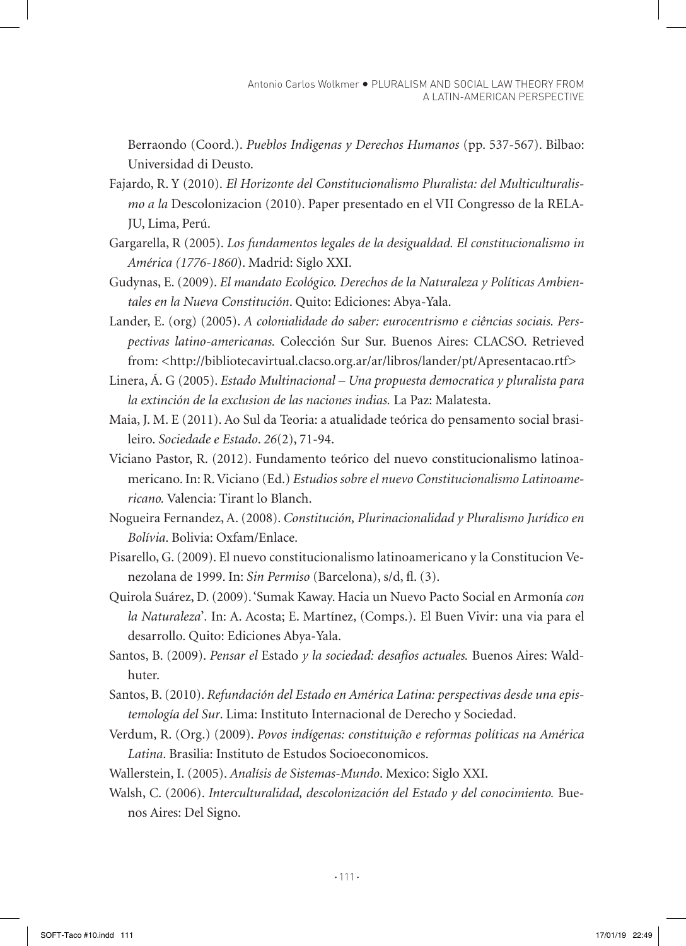Berraondo (Coord.). *Pueblos Indigenas y Derechos Humanos* (pp. 537-567). Bilbao: Universidad di Deusto.

- Fajardo, R. Y (2010). *El Horizonte del Constitucionalismo Pluralista: del Multiculturalismo a la* Descolonizacion (2010). Paper presentado en el VII Congresso de la RELA-JU, Lima, Perú.
- Gargarella, R (2005). *Los fundamentos legales de la desigualdad. El constitucionalismo in América (1776-1860*). Madrid: Siglo XXI.
- Gudynas, E. (2009). *El mandato Ecológico. Derechos de la Naturaleza y Políticas Ambientales en la Nueva Constitución*. Quito: Ediciones: Abya-Yala.
- Lander, E. (org) (2005). *A colonialidade do saber: eurocentrismo e ciências sociais. Perspectivas latino-americanas.* Colección Sur Sur. Buenos Aires: CLACSO. Retrieved from: <http://bibliotecavirtual.clacso.org.ar/ar/libros/lander/pt/Apresentacao.rtf>
- Linera, Á. G (2005). *Estado Multinacional Una propuesta democratica y pluralista para la extinción de la exclusion de las naciones indias.* La Paz: Malatesta.
- Maia, J. M. E (2011). Ao Sul da Teoria: a atualidade teórica do pensamento social brasileiro. *Sociedade e Estado*. *26*(2), 71-94.
- Viciano Pastor, R. (2012). Fundamento teórico del nuevo constitucionalismo latinoamericano. In: R. Viciano (Ed.) *Estudios sobre el nuevo Constitucionalismo Latinoamericano.* Valencia: Tirant lo Blanch.
- Nogueira Fernandez, A. (2008). *Constitución, Plurinacionalidad y Pluralismo Jurídico en Bolívia*. Bolivia: Oxfam/Enlace.
- Pisarello, G. (2009). El nuevo constitucionalismo latinoamericano y la Constitucion Venezolana de 1999. In: *Sin Permiso* (Barcelona), s/d, fl. (3).
- Quirola Suárez, D. (2009). 'Sumak Kaway. Hacia un Nuevo Pacto Social en Armonía *con la Naturaleza*'*.* In: A. Acosta; E. Martínez, (Comps.). El Buen Vivir: una via para el desarrollo. Quito: Ediciones Abya-Yala.
- Santos, B. (2009). *Pensar el* Estado *y la sociedad: desafíos actuales.* Buenos Aires: Waldhuter.
- Santos, B. (2010). *Refundación del Estado en América Latina: perspectivas desde una epistemología del Sur*. Lima: Instituto Internacional de Derecho y Sociedad.
- Verdum, R. (Org.) (2009). *Povos indígenas: constituição e reformas políticas na América Latina*. Brasilia: Instituto de Estudos Socioeconomicos.
- Wallerstein, I. (2005). *Analísis de Sistemas-Mundo*. Mexico: Siglo XXI.
- Walsh, C. (2006). *Interculturalidad, descolonización del Estado y del conocimiento.* Buenos Aires: Del Signo.